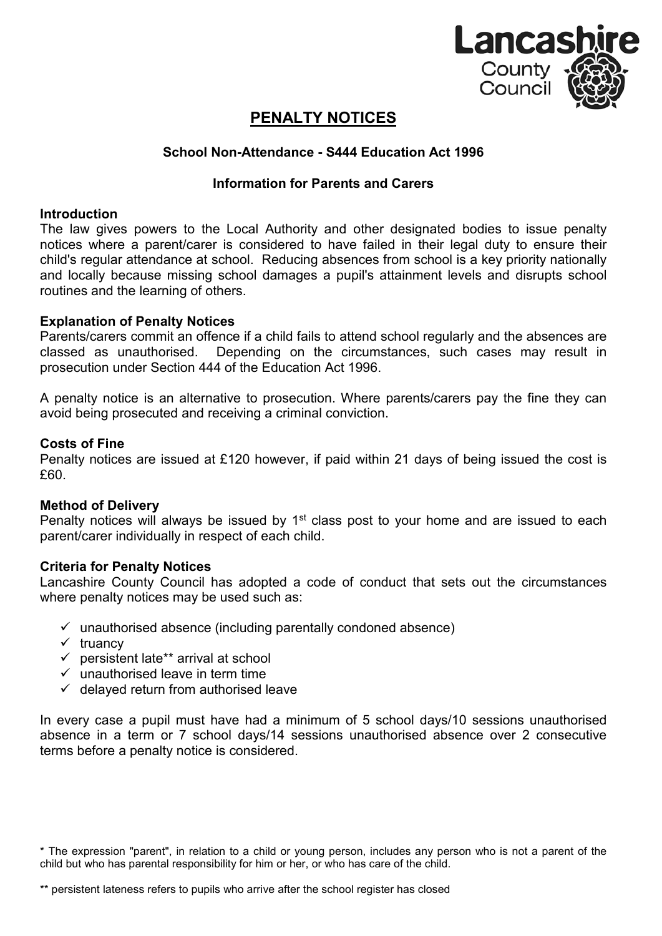

# **PENALTY NOTICES**

# **School Non-Attendance - S444 Education Act 1996**

# **Information for Parents and Carers**

### **Introduction**

The law gives powers to the Local Authority and other designated bodies to issue penalty notices where a parent/carer is considered to have failed in their legal duty to ensure their child's regular attendance at school. Reducing absences from school is a key priority nationally and locally because missing school damages a pupil's attainment levels and disrupts school routines and the learning of others.

### **Explanation of Penalty Notices**

Parents/carers commit an offence if a child fails to attend school regularly and the absences are classed as unauthorised. Depending on the circumstances, such cases may result in prosecution under Section 444 of the Education Act 1996.

A penalty notice is an alternative to prosecution. Where parents/carers pay the fine they can avoid being prosecuted and receiving a criminal conviction.

### **Costs of Fine**

Penalty notices are issued at £120 however, if paid within 21 days of being issued the cost is £60.

#### **Method of Delivery**

Penalty notices will always be issued by  $1<sup>st</sup>$  class post to your home and are issued to each parent/carer individually in respect of each child.

#### **Criteria for Penalty Notices**

Lancashire County Council has adopted a code of conduct that sets out the circumstances where penalty notices may be used such as:

- $\checkmark$  unauthorised absence (including parentally condoned absence)
- $\checkmark$  truancy
- $\checkmark$  persistent late\*\* arrival at school
- $\checkmark$  unauthorised leave in term time
- $\checkmark$  delayed return from authorised leave

In every case a pupil must have had a minimum of 5 school days/10 sessions unauthorised absence in a term or 7 school days/14 sessions unauthorised absence over 2 consecutive terms before a penalty notice is considered.

\* The expression "parent", in relation to a child or young person, includes any person who is not a parent of the child but who has parental responsibility for him or her, or who has care of the child.

<sup>\*\*</sup> persistent lateness refers to pupils who arrive after the school register has closed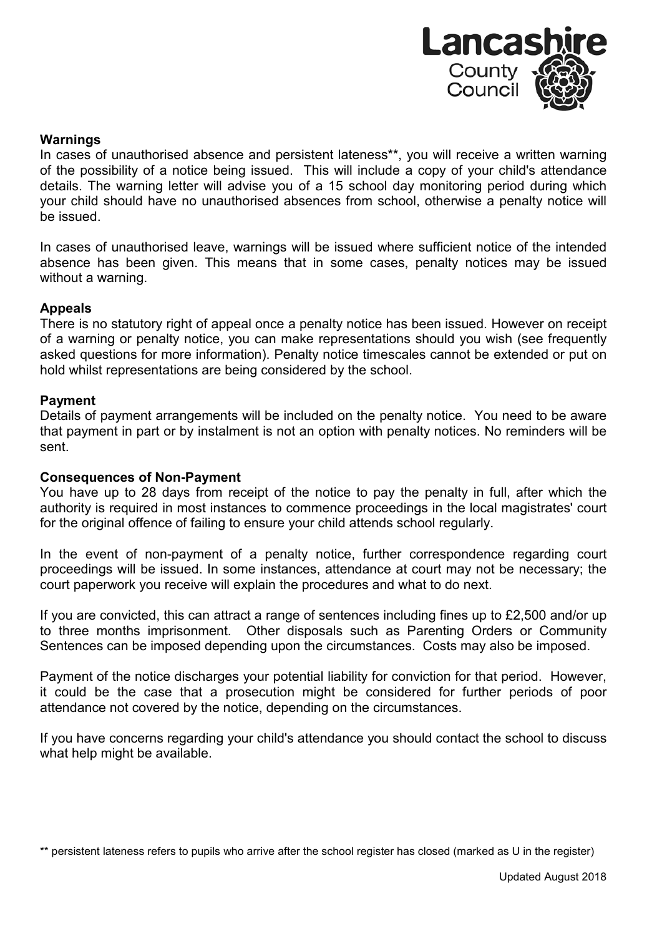

#### **Warnings**

In cases of unauthorised absence and persistent lateness\*\*, you will receive a written warning of the possibility of a notice being issued. This will include a copy of your child's attendance details. The warning letter will advise you of a 15 school day monitoring period during which your child should have no unauthorised absences from school, otherwise a penalty notice will be issued.

In cases of unauthorised leave, warnings will be issued where sufficient notice of the intended absence has been given. This means that in some cases, penalty notices may be issued without a warning.

#### **Appeals**

There is no statutory right of appeal once a penalty notice has been issued. However on receipt of a warning or penalty notice, you can make representations should you wish (see frequently asked questions for more information). Penalty notice timescales cannot be extended or put on hold whilst representations are being considered by the school.

### **Payment**

Details of payment arrangements will be included on the penalty notice. You need to be aware that payment in part or by instalment is not an option with penalty notices. No reminders will be sent.

#### **Consequences of Non-Payment**

You have up to 28 days from receipt of the notice to pay the penalty in full, after which the authority is required in most instances to commence proceedings in the local magistrates' court for the original offence of failing to ensure your child attends school regularly.

In the event of non-payment of a penalty notice, further correspondence regarding court proceedings will be issued. In some instances, attendance at court may not be necessary; the court paperwork you receive will explain the procedures and what to do next.

If you are convicted, this can attract a range of sentences including fines up to £2,500 and/or up to three months imprisonment. Other disposals such as Parenting Orders or Community Sentences can be imposed depending upon the circumstances. Costs may also be imposed.

Payment of the notice discharges your potential liability for conviction for that period. However, it could be the case that a prosecution might be considered for further periods of poor attendance not covered by the notice, depending on the circumstances.

If you have concerns regarding your child's attendance you should contact the school to discuss what help might be available.

\*\* persistent lateness refers to pupils who arrive after the school register has closed (marked as U in the register)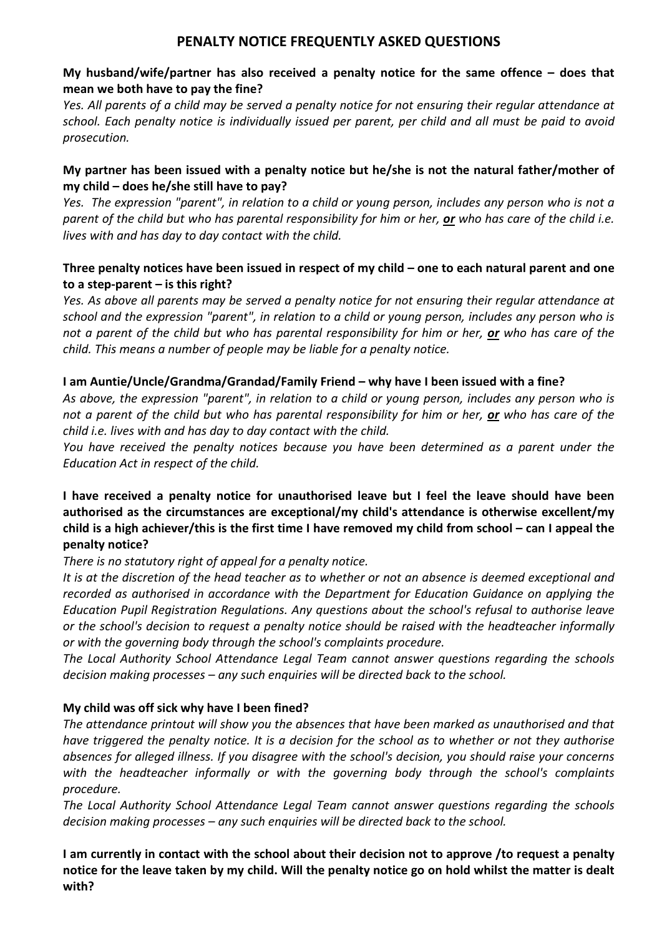# **PENALTY NOTICE FREQUENTLY ASKED QUESTIONS**

# **My husband/wife/partner has also received a penalty notice for the same offence – does that mean we both have to pay the fine?**

*Yes. All parents of a child may be served a penalty notice for not ensuring their regular attendance at school. Each penalty notice is individually issued per parent, per child and all must be paid to avoid prosecution.*

# **My partner has been issued with a penalty notice but he/she is not the natural father/mother of my child – does he/she still have to pay?**

*Yes. The expression "parent", in relation to a child or young person, includes any person who is not a parent of the child but who has parental responsibility for him or her, or who has care of the child i.e. lives with and has day to day contact with the child.*

# **Three penalty notices have been issued in respect of my child – one to each natural parent and one to a step-parent – is this right?**

*Yes. As above all parents may be served a penalty notice for not ensuring their regular attendance at school and the expression "parent", in relation to a child or young person, includes any person who is not a parent of the child but who has parental responsibility for him or her, or who has care of the child. This means a number of people may be liable for a penalty notice.*

# **I am Auntie/Uncle/Grandma/Grandad/Family Friend – why have I been issued with a fine?**

*As above, the expression "parent", in relation to a child or young person, includes any person who is not a parent of the child but who has parental responsibility for him or her, or who has care of the child i.e. lives with and has day to day contact with the child.*

*You have received the penalty notices because you have been determined as a parent under the Education Act in respect of the child.*

# **I have received a penalty notice for unauthorised leave but I feel the leave should have been authorised as the circumstances are exceptional/my child's attendance is otherwise excellent/my child is a high achiever/this is the first time I have removed my child from school – can I appeal the penalty notice?**

# *There is no statutory right of appeal for a penalty notice.*

*It is at the discretion of the head teacher as to whether or not an absence is deemed exceptional and recorded as authorised in accordance with the Department for Education Guidance on applying the Education Pupil Registration Regulations. Any questions about the school's refusal to authorise leave or the school's decision to request a penalty notice should be raised with the headteacher informally or with the governing body through the school's complaints procedure.* 

*The Local Authority School Attendance Legal Team cannot answer questions regarding the schools decision making processes – any such enquiries will be directed back to the school.* 

# **My child was off sick why have I been fined?**

*The attendance printout will show you the absences that have been marked as unauthorised and that have triggered the penalty notice. It is a decision for the school as to whether or not they authorise absences for alleged illness. If you disagree with the school's decision, you should raise your concerns with the headteacher informally or with the governing body through the school's complaints procedure.* 

*The Local Authority School Attendance Legal Team cannot answer questions regarding the schools decision making processes – any such enquiries will be directed back to the school.* 

**I am currently in contact with the school about their decision not to approve /to request a penalty notice for the leave taken by my child. Will the penalty notice go on hold whilst the matter is dealt with?**